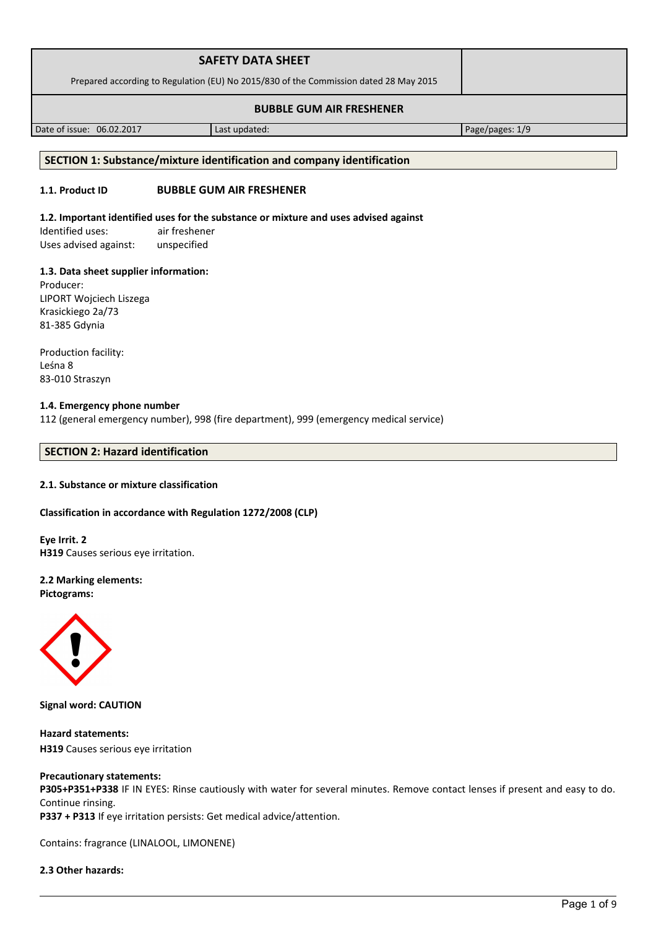| <b>SAFETY DATA SHEET</b>                                                              |  |
|---------------------------------------------------------------------------------------|--|
| Prepared according to Regulation (EU) No 2015/830 of the Commission dated 28 May 2015 |  |
| <b>BUBBLE GUM AIR FRESHENER</b>                                                       |  |

Date of issue: 06.02.2017 Last updated: Page/pages: 1/9

#### **SECTION 1: Substance/mixture identification and company identification**

# **1.1. Product ID BUBBLE GUM AIR FRESHENER**

#### **1.2. Important identified uses for the substance or mixture and uses advised against**

Identified uses: air freshener Uses advised against: unspecified

## **1.3. Data sheet supplier information:**

Producer: LIPORT Wojciech Liszega Krasickiego 2a/73 81-385 Gdynia

Production facility: Leśna 8 83-010 Straszyn

# **1.4. Emergency phone number**

112 (general emergency number), 998 (fire department), 999 (emergency medical service)

# **SECTION 2: Hazard identification**

## **2.1. Substance or mixture classification**

## **Classification in accordance with Regulation 1272/2008 (CLP)**

**Eye Irrit. 2 H319** Causes serious eye irritation.

**2.2 Marking elements: Pictograms:**



**Signal word: CAUTION**

**Hazard statements: H319** Causes serious eye irritation

#### **Precautionary statements:**

**P305+P351+P338** IF IN EYES: Rinse cautiously with water for several minutes. Remove contact lenses if present and easy to do. Continue rinsing.

**P337 + P313** If eye irritation persists: Get medical advice/attention.

Contains: fragrance (LINALOOL, LIMONENE)

# **2.3 Other hazards:**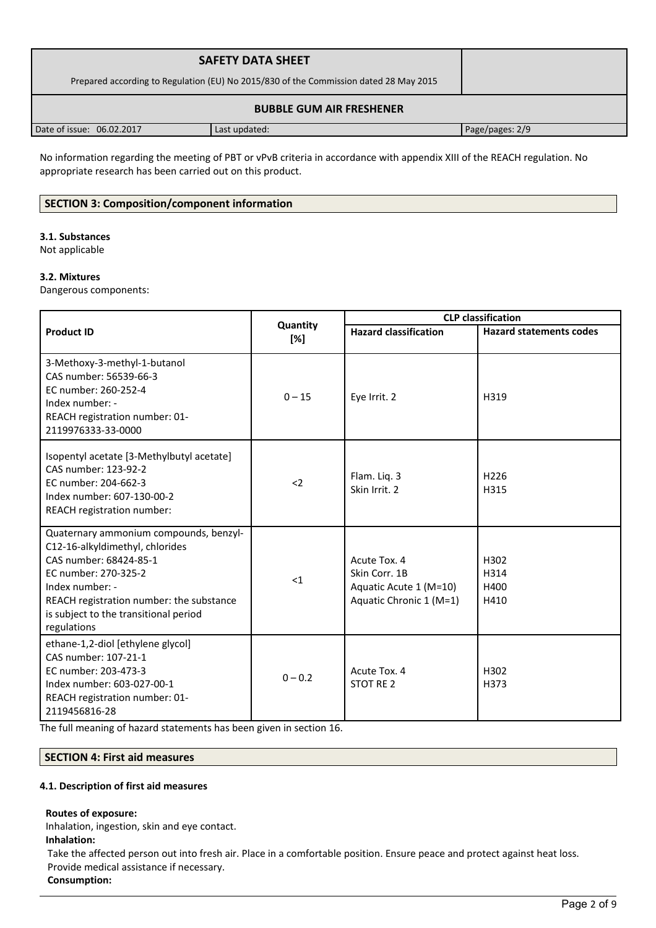| <b>SAFETY DATA SHEET</b><br>Prepared according to Regulation (EU) No 2015/830 of the Commission dated 28 May 2015 |               |                 |  |
|-------------------------------------------------------------------------------------------------------------------|---------------|-----------------|--|
| <b>BUBBLE GUM AIR FRESHENER</b>                                                                                   |               |                 |  |
| Date of issue: 06.02.2017                                                                                         | Last updated: | Page/pages: 2/9 |  |

No information regarding the meeting of PBT or vPvB criteria in accordance with appendix XIII of the REACH regulation. No appropriate research has been carried out on this product.

# **SECTION 3: Composition/component information**

# **3.1. Substances**

Not applicable

# **3.2. Mixtures**

Dangerous components:

|                                                                                                                                                                                                                                                    |                 | <b>CLP</b> classification                                                          |                                |
|----------------------------------------------------------------------------------------------------------------------------------------------------------------------------------------------------------------------------------------------------|-----------------|------------------------------------------------------------------------------------|--------------------------------|
| <b>Product ID</b>                                                                                                                                                                                                                                  | Quantity<br>[%] | <b>Hazard classification</b>                                                       | <b>Hazard statements codes</b> |
| 3-Methoxy-3-methyl-1-butanol<br>CAS number: 56539-66-3<br>EC number: 260-252-4<br>Index number: -<br>REACH registration number: 01-<br>2119976333-33-0000                                                                                          | $0 - 15$        | Eye Irrit. 2                                                                       | H319                           |
| Isopentyl acetate [3-Methylbutyl acetate]<br>CAS number: 123-92-2<br>EC number: 204-662-3<br>Index number: 607-130-00-2<br>REACH registration number:                                                                                              | $2$             | Flam. Liq. 3<br>Skin Irrit. 2                                                      | H <sub>226</sub><br>H315       |
| Quaternary ammonium compounds, benzyl-<br>C12-16-alkyldimethyl, chlorides<br>CAS number: 68424-85-1<br>EC number: 270-325-2<br>Index number: -<br>REACH registration number: the substance<br>is subject to the transitional period<br>regulations | $<$ 1           | Acute Tox. 4<br>Skin Corr. 1B<br>Aquatic Acute 1 (M=10)<br>Aquatic Chronic 1 (M=1) | H302<br>H314<br>H400<br>H410   |
| ethane-1,2-diol [ethylene glycol]<br>CAS number: 107-21-1<br>EC number: 203-473-3<br>Index number: 603-027-00-1<br>REACH registration number: 01-<br>2119456816-28                                                                                 | $0 - 0.2$       | Acute Tox. 4<br>STOT RE 2                                                          | H302<br>H373                   |

The full meaning of hazard statements has been given in section 16.

# **SECTION 4: First aid measures**

## **4.1. Description of first aid measures**

## **Routes of exposure:**

Inhalation, ingestion, skin and eye contact. **Inhalation:**

Take the affected person out into fresh air. Place in a comfortable position. Ensure peace and protect against heat loss. Provide medical assistance if necessary.

**Consumption:**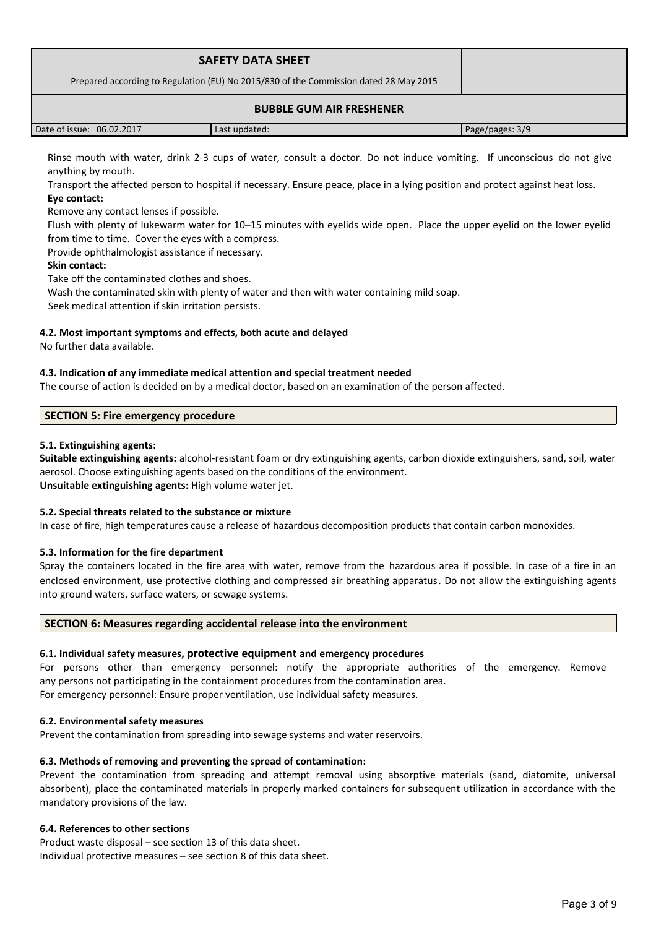| <b>SAFETY DATA SHEET</b><br>Prepared according to Regulation (EU) No 2015/830 of the Commission dated 28 May 2015 |               |                 |  |
|-------------------------------------------------------------------------------------------------------------------|---------------|-----------------|--|
| <b>BUBBLE GUM AIR FRESHENER</b>                                                                                   |               |                 |  |
| Date of issue: 06.02.2017                                                                                         | Last updated: | Page/pages: 3/9 |  |

Rinse mouth with water, drink 2-3 cups of water, consult a doctor. Do not induce vomiting. If unconscious do not give anything by mouth.

Transport the affected person to hospital if necessary. Ensure peace, place in a lying position and protect against heat loss. **Eye contact:**

Remove any contact lenses if possible.

Flush with plenty of lukewarm water for 10–15 minutes with eyelids wide open. Place the upper eyelid on the lower eyelid from time to time. Cover the eyes with a compress.

Provide ophthalmologist assistance if necessary.

# **Skin contact:**

Take off the contaminated clothes and shoes. Wash the contaminated skin with plenty of water and then with water containing mild soap.

Seek medical attention if skin irritation persists.

# **4.2. Most important symptoms and effects, both acute and delayed**

No further data available.

# **4.3. Indication of any immediate medical attention and special treatment needed**

The course of action is decided on by a medical doctor, based on an examination of the person affected.

# **SECTION 5: Fire emergency procedure**

# **5.1. Extinguishing agents:**

**Suitable extinguishing agents:** alcohol-resistant foam or dry extinguishing agents, carbon dioxide extinguishers, sand, soil, water aerosol. Choose extinguishing agents based on the conditions of the environment. **Unsuitable extinguishing agents:** High volume water jet.

## **5.2. Special threats related to the substance or mixture**

In case of fire, high temperatures cause a release of hazardous decomposition products that contain carbon monoxides.

## **5.3. Information for the fire department**

Spray the containers located in the fire area with water, remove from the hazardous area if possible. In case of a fire in an enclosed environment, use protective clothing and compressed air breathing apparatus. Do not allow the extinguishing agents into ground waters, surface waters, or sewage systems.

# **SECTION 6: Measures regarding accidental release into the environment**

## **6.1. Individual safety measures, protective equipment and emergency procedures**

For persons other than emergency personnel: notify the appropriate authorities of the emergency. Remove any persons not participating in the containment procedures from the contamination area.

For emergency personnel: Ensure proper ventilation, use individual safety measures.

## **6.2. Environmental safety measures**

Prevent the contamination from spreading into sewage systems and water reservoirs.

## **6.3. Methods of removing and preventing the spread of contamination:**

Prevent the contamination from spreading and attempt removal using absorptive materials (sand, diatomite, universal absorbent), place the contaminated materials in properly marked containers for subsequent utilization in accordance with the mandatory provisions of the law.

## **6.4. References to other sections**

Product waste disposal – see section 13 of this data sheet. Individual protective measures – see section 8 of this data sheet.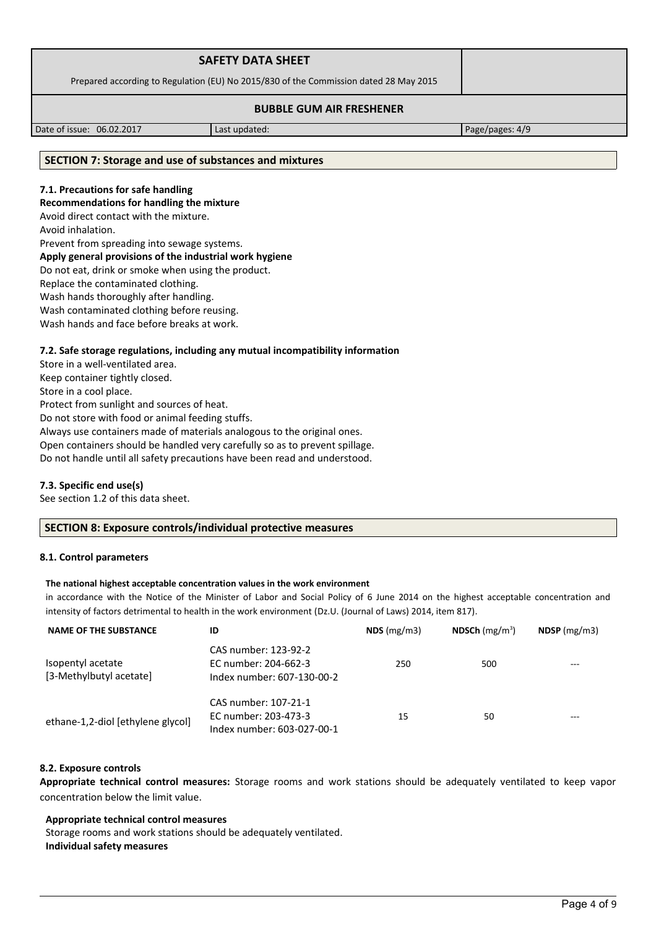| <b>SAFETY DATA SHEET</b>                                                              |  |
|---------------------------------------------------------------------------------------|--|
| Prepared according to Regulation (EU) No 2015/830 of the Commission dated 28 May 2015 |  |
| <b>BUBBLE GUM AIR FRESHENER</b>                                                       |  |

Date of issue: 06.02.2017 Last updated: Page/pages: 4/9

#### **SECTION 7: Storage and use of substances and mixtures**

# **7.1. Precautions for safe handling**

**Recommendations for handling the mixture** 

Avoid direct contact with the mixture.

Avoid inhalation.

Prevent from spreading into sewage systems.

#### **Apply general provisions of the industrial work hygiene**

Do not eat, drink or smoke when using the product.

Replace the contaminated clothing.

Wash hands thoroughly after handling.

Wash contaminated clothing before reusing.

Wash hands and face before breaks at work.

## **7.2. Safe storage regulations, including any mutual incompatibility information**

Store in a well-ventilated area. Keep container tightly closed. Store in a cool place. Protect from sunlight and sources of heat. Do not store with food or animal feeding stuffs. Always use containers made of materials analogous to the original ones. Open containers should be handled very carefully so as to prevent spillage. Do not handle until all safety precautions have been read and understood.

## **7.3. Specific end use(s)**

See section 1.2 of this data sheet.

## **SECTION 8: Exposure controls/individual protective measures**

## **8.1. Control parameters**

## **The national highest acceptable concentration values in the work environment**

in accordance with the Notice of the Minister of Labor and Social Policy of 6 June 2014 on the highest acceptable concentration and intensity of factors detrimental to health in the work environment (Dz.U. (Journal of Laws) 2014, item 817).

| <b>NAME OF THE SUBSTANCE</b>                 | ID                                                                         | NDS(mg/m3) | NDSCh $(mg/m^3)$ | $NDSP$ (mg/m3) |
|----------------------------------------------|----------------------------------------------------------------------------|------------|------------------|----------------|
| Isopentyl acetate<br>[3-Methylbutyl acetate] | CAS number: 123-92-2<br>EC number: 204-662-3<br>Index number: 607-130-00-2 | 250        | 500              | ---            |
| ethane-1,2-diol [ethylene glycol]            | CAS number: 107-21-1<br>EC number: 203-473-3<br>Index number: 603-027-00-1 | 15         | 50               |                |

#### **8.2. Exposure controls**

**Appropriate technical control measures:** Storage rooms and work stations should be adequately ventilated to keep vapor concentration below the limit value.

#### **Appropriate technical control measures**

Storage rooms and work stations should be adequately ventilated. **Individual safety measures**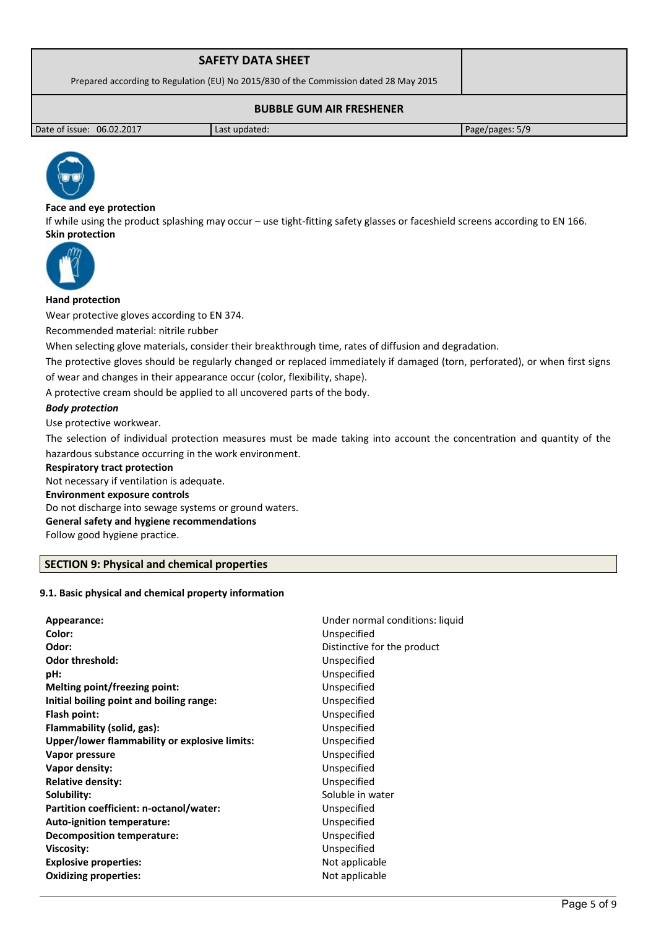| <b>SAFETY DATA SHEET</b>                                                              |               |                 |  |
|---------------------------------------------------------------------------------------|---------------|-----------------|--|
| Prepared according to Regulation (EU) No 2015/830 of the Commission dated 28 May 2015 |               |                 |  |
| <b>BUBBLE GUM AIR FRESHENER</b>                                                       |               |                 |  |
| Date of issue: 06.02.2017                                                             | Last updated: | Page/pages: 5/9 |  |



# **Face and eye protection**

If while using the product splashing may occur – use tight-fitting safety glasses or faceshield screens according to EN 166. **Skin protection** 



## **Hand protection**

Wear protective gloves according to EN 374.

Recommended material: nitrile rubber

When selecting glove materials, consider their breakthrough time, rates of diffusion and degradation.

The protective gloves should be regularly changed or replaced immediately if damaged (torn, perforated), or when first signs of wear and changes in their appearance occur (color, flexibility, shape).

A protective cream should be applied to all uncovered parts of the body.

# *Body protection*

Use protective workwear.

The selection of individual protection measures must be made taking into account the concentration and quantity of the hazardous substance occurring in the work environment.

#### **Respiratory tract protection**

Not necessary if ventilation is adequate. **Environment exposure controls**  Do not discharge into sewage systems or ground waters. **General safety and hygiene recommendations** Follow good hygiene practice.

# **SECTION 9: Physical and chemical properties**

## **9.1. Basic physical and chemical property information**

| Appearance:                                   | Under normal conditions: liquid |
|-----------------------------------------------|---------------------------------|
| Color:                                        | Unspecified                     |
| Odor:                                         | Distinctive for the product     |
| <b>Odor threshold:</b>                        | Unspecified                     |
| pH:                                           | Unspecified                     |
| Melting point/freezing point:                 | Unspecified                     |
| Initial boiling point and boiling range:      | Unspecified                     |
| Flash point:                                  | Unspecified                     |
| Flammability (solid, gas):                    | Unspecified                     |
| Upper/lower flammability or explosive limits: | Unspecified                     |
| Vapor pressure                                | Unspecified                     |
| Vapor density:                                | Unspecified                     |
| <b>Relative density:</b>                      | Unspecified                     |
| Solubility:                                   | Soluble in water                |
| Partition coefficient: n-octanol/water:       | Unspecified                     |
| <b>Auto-ignition temperature:</b>             | Unspecified                     |
| <b>Decomposition temperature:</b>             | Unspecified                     |
| Viscosity:                                    | Unspecified                     |
| <b>Explosive properties:</b>                  | Not applicable                  |
| <b>Oxidizing properties:</b>                  | Not applicable                  |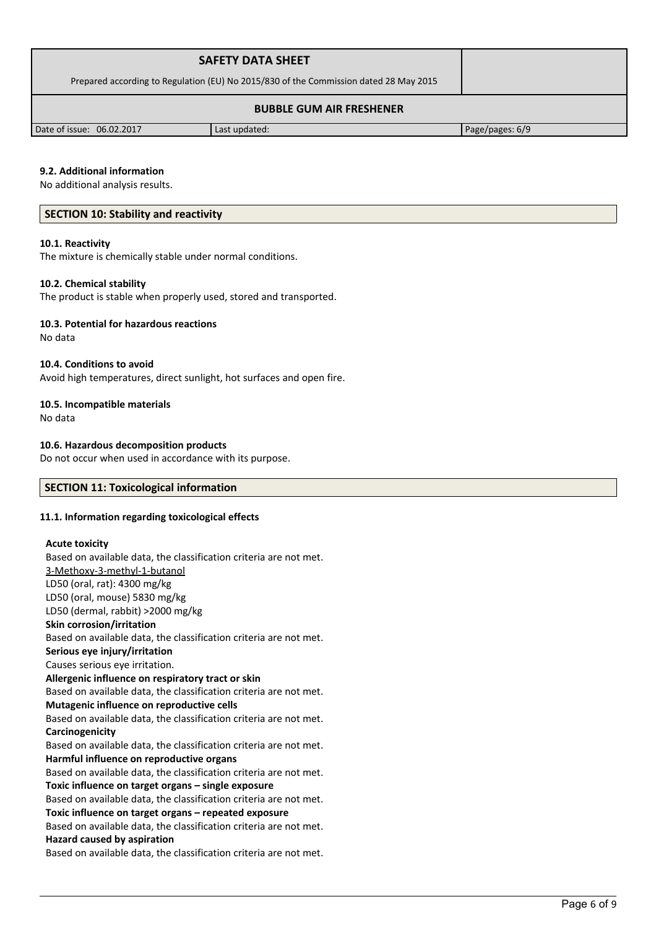|                                                                                       | <b>SAFETY DATA SHEET</b> |                 |  |
|---------------------------------------------------------------------------------------|--------------------------|-----------------|--|
| Prepared according to Regulation (EU) No 2015/830 of the Commission dated 28 May 2015 |                          |                 |  |
| <b>BUBBLE GUM AIR FRESHENER</b>                                                       |                          |                 |  |
| Date of issue: 06.02.2017                                                             | Last updated:            | Page/pages: 6/9 |  |

## **9.2. Additional information**

No additional analysis results.

## **SECTION 10: Stability and reactivity**

#### **10.1. Reactivity**

The mixture is chemically stable under normal conditions.

#### **10.2. Chemical stability**

The product is stable when properly used, stored and transported.

#### **10.3. Potential for hazardous reactions**

No data

#### **10.4. Conditions to avoid**

Avoid high temperatures, direct sunlight, hot surfaces and open fire.

## **10.5. Incompatible materials**

No data

## **10.6. Hazardous decomposition products**

Do not occur when used in accordance with its purpose.

# **SECTION 11: Toxicological information**

## **11.1. Information regarding toxicological effects**

#### **Acute toxicity**

Based on available data, the classification criteria are not met. 3-Methoxy-3-methyl-1-butanol LD50 (oral, rat): 4300 mg/kg LD50 (oral, mouse) 5830 mg/kg LD50 (dermal, rabbit) >2000 mg/kg **Skin corrosion/irritation** Based on available data, the classification criteria are not met. **Serious eye injury/irritation** Causes serious eye irritation. **Allergenic influence on respiratory tract or skin** Based on available data, the classification criteria are not met. **Mutagenic influence on reproductive cells** Based on available data, the classification criteria are not met. **Carcinogenicity** Based on available data, the classification criteria are not met. **Harmful influence on reproductive organs** Based on available data, the classification criteria are not met. **Toxic influence on target organs – single exposure** Based on available data, the classification criteria are not met. **Toxic influence on target organs – repeated exposure** Based on available data, the classification criteria are not met. **Hazard caused by aspiration** Based on available data, the classification criteria are not met.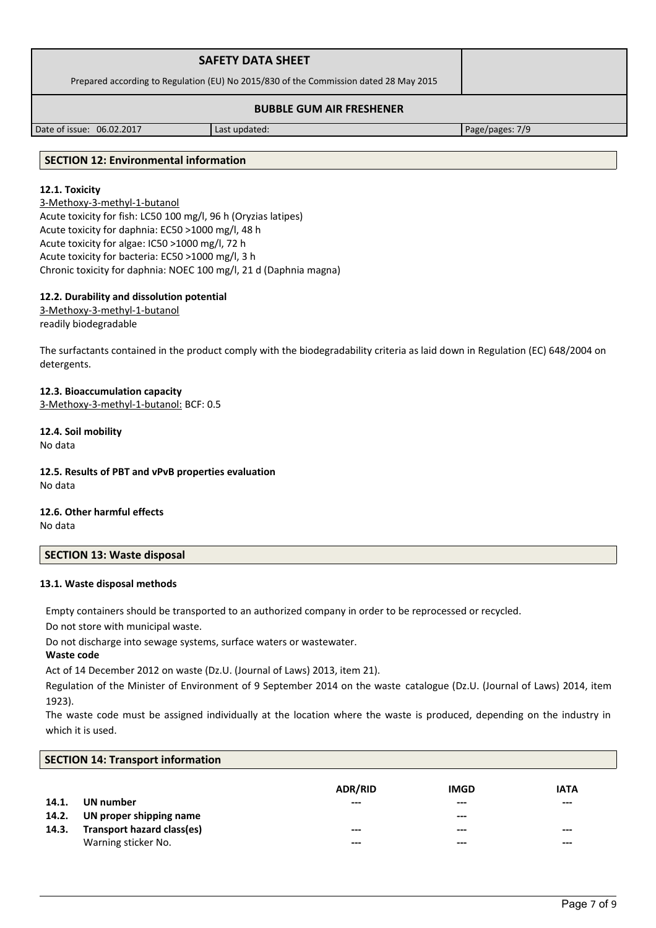| <b>SAFETY DATA SHEET</b>                                                              |  |
|---------------------------------------------------------------------------------------|--|
| Prepared according to Regulation (EU) No 2015/830 of the Commission dated 28 May 2015 |  |
| <b>BUBBLE GUM AIR FRESHENER</b>                                                       |  |

Date of issue: 06.02.2017 Last updated: Page/pages: 7/9

# **SECTION 12: Environmental information**

# **12.1. Toxicity**

3-Methoxy-3-methyl-1-butanol Acute toxicity for fish: LC50 100 mg/l, 96 h (Oryzias latipes) Acute toxicity for daphnia: EC50 >1000 mg/l, 48 h Acute toxicity for algae: IC50 >1000 mg/l, 72 h Acute toxicity for bacteria: EC50 >1000 mg/l, 3 h Chronic toxicity for daphnia: NOEC 100 mg/l, 21 d (Daphnia magna)

# **12.2. Durability and dissolution potential**

3-Methoxy-3-methyl-1-butanol readily biodegradable

The surfactants contained in the product comply with the biodegradability criteria as laid down in Regulation (EC) 648/2004 on detergents.

## **12.3. Bioaccumulation capacity**

3-Methoxy-3-methyl-1-butanol: BCF: 0.5

# **12.4. Soil mobility**

No data

## **12.5. Results of PBT and vPvB properties evaluation** No data

#### **12.6. Other harmful effects** No data

# **SECTION 13: Waste disposal**

## **13.1. Waste disposal methods**

Empty containers should be transported to an authorized company in order to be reprocessed or recycled.

Do not store with municipal waste.

Do not discharge into sewage systems, surface waters or wastewater.

## **Waste code**

Act of 14 December 2012 on waste (Dz.U. (Journal of Laws) 2013, item 21).

Regulation of the Minister of Environment of 9 September 2014 on the waste catalogue (Dz.U. (Journal of Laws) 2014, item 1923).

The waste code must be assigned individually at the location where the waste is produced, depending on the industry in which it is used.

|       | <b>SECTION 14: Transport information</b> |                |             |             |  |
|-------|------------------------------------------|----------------|-------------|-------------|--|
|       |                                          |                |             |             |  |
|       |                                          | <b>ADR/RID</b> | <b>IMGD</b> | <b>IATA</b> |  |
| 14.1. | UN number                                | ---            | $- - -$     | ---         |  |
| 14.2. | UN proper shipping name                  |                | $---$       |             |  |
| 14.3. | Transport hazard class(es)               | ---            | $--$        | $- - -$     |  |
|       | Warning sticker No.                      | ---            | $---$       | $- - -$     |  |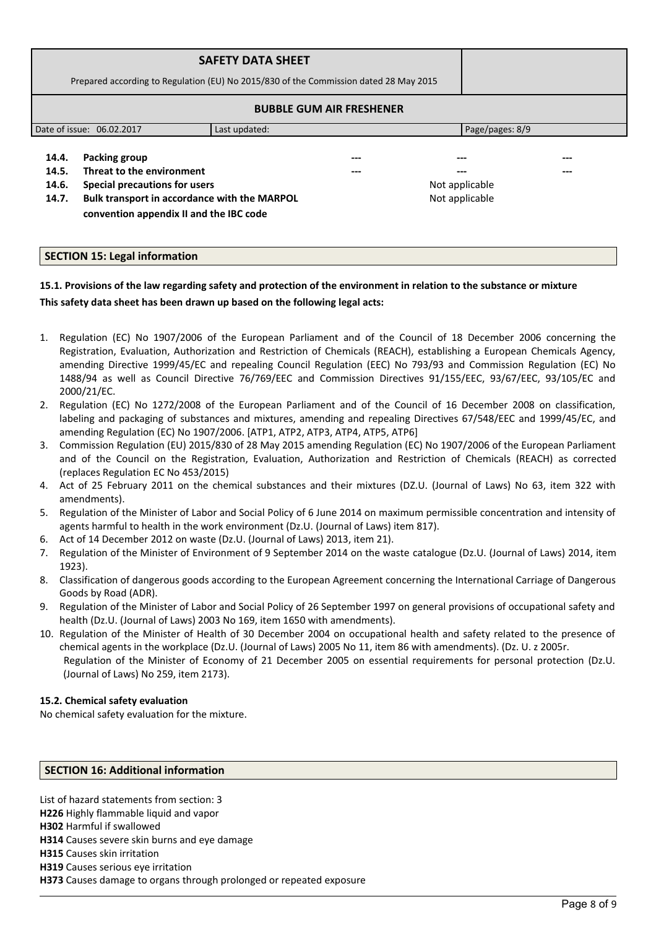|                                  | Prepared according to Regulation (EU) No 2015/830 of the Commission dated 28 May 2015                                                                                  | <b>SAFETY DATA SHEET</b> |                                 |                                         |            |
|----------------------------------|------------------------------------------------------------------------------------------------------------------------------------------------------------------------|--------------------------|---------------------------------|-----------------------------------------|------------|
|                                  |                                                                                                                                                                        |                          | <b>BUBBLE GUM AIR FRESHENER</b> |                                         |            |
|                                  | Date of issue: 06.02.2017<br>Page/pages: 8/9<br>Last updated:                                                                                                          |                          |                                 |                                         |            |
| 14.4.<br>14.5.<br>14.6.<br>14.7. | Packing group<br>Threat to the environment<br>Special precautions for users<br>Bulk transport in accordance with the MARPOL<br>convention appendix II and the IBC code |                          | ---<br>---                      | ---<br>Not applicable<br>Not applicable | ---<br>--- |

# **SECTION 15: Legal information**

# **15.1. Provisions of the law regarding safety and protection of the environment in relation to the substance or mixture This safety data sheet has been drawn up based on the following legal acts:**

- 1. Regulation (EC) No 1907/2006 of the European Parliament and of the Council of 18 December 2006 concerning the Registration, Evaluation, Authorization and Restriction of Chemicals (REACH), establishing a European Chemicals Agency, amending Directive 1999/45/EC and repealing Council Regulation (EEC) No 793/93 and Commission Regulation (EC) No 1488/94 as well as Council Directive 76/769/EEC and Commission Directives 91/155/EEC, 93/67/EEC, 93/105/EC and 2000/21/EC.
- 2. Regulation (EC) No 1272/2008 of the European Parliament and of the Council of 16 December 2008 on classification, labeling and packaging of substances and mixtures, amending and repealing Directives 67/548/EEC and 1999/45/EC, and amending Regulation (EC) No 1907/2006. [ATP1, ATP2, ATP3, ATP4, ATP5, ATP6]
- 3. Commission Regulation (EU) 2015/830 of 28 May 2015 amending Regulation (EC) No 1907/2006 of the European Parliament and of the Council on the Registration, Evaluation, Authorization and Restriction of Chemicals (REACH) as corrected (replaces Regulation EC No 453/2015)
- 4. Act of 25 February 2011 on the chemical substances and their mixtures (DZ.U. (Journal of Laws) No 63, item 322 with amendments).
- 5. Regulation of the Minister of Labor and Social Policy of 6 June 2014 on maximum permissible concentration and intensity of agents harmful to health in the work environment (Dz.U. (Journal of Laws) item 817).
- 6. Act of 14 December 2012 on waste (Dz.U. (Journal of Laws) 2013, item 21).
- 7. Regulation of the Minister of Environment of 9 September 2014 on the waste catalogue (Dz.U. (Journal of Laws) 2014, item 1923).
- 8. Classification of dangerous goods according to the European Agreement concerning the International Carriage of Dangerous Goods by Road (ADR).
- 9. Regulation of the Minister of Labor and Social Policy of 26 September 1997 on general provisions of occupational safety and health (Dz.U. (Journal of Laws) 2003 No 169, item 1650 with amendments).
- 10. Regulation of the Minister of Health of 30 December 2004 on occupational health and safety related to the presence of chemical agents in the workplace (Dz.U. (Journal of Laws) 2005 No 11, item 86 with amendments). (Dz. U. z 2005r. Regulation of the Minister of Economy of 21 December 2005 on essential requirements for personal protection (Dz.U. (Journal of Laws) No 259, item 2173).

## **15.2. Chemical safety evaluation**

No chemical safety evaluation for the mixture.

## **SECTION 16: Additional information**

List of hazard statements from section: 3 **H226** Highly flammable liquid and vapor **H302** Harmful if swallowed **H314** Causes severe skin burns and eye damage **H315** Causes skin irritation **H319** Causes serious eye irritation

**H373** Causes damage to organs through prolonged or repeated exposure